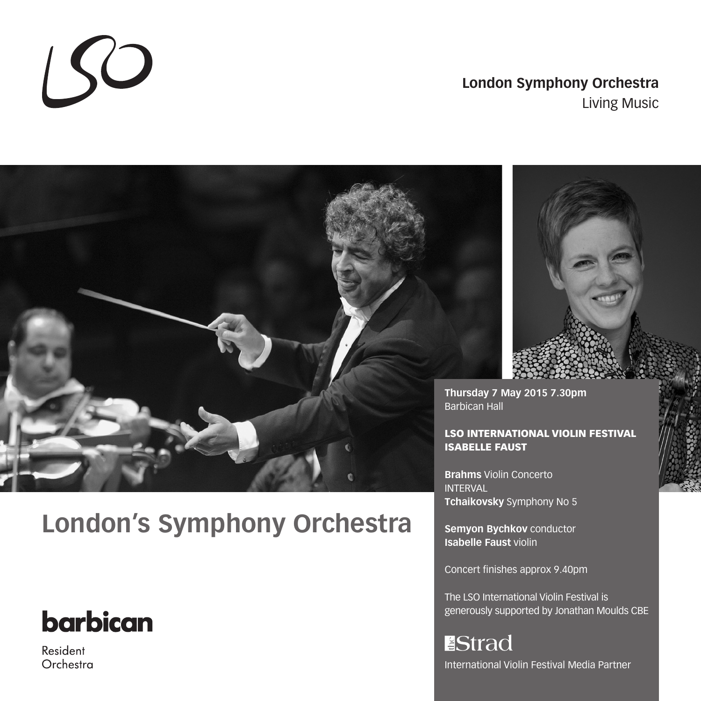# **London Symphony Orchestra** Living Music

# **London's Symphony Orchestra**

# **barbican**

 $150$ 

Resident Orchestra



**Thursday 7 May 2015 7.30pm** Barbican Hall

LSO INTERNATIONAL VIOLIN FESTIVAL ISABELLE FAUST

**Brahms** Violin Concerto INTERVAL **Tchaikovsky** Symphony No 5

**Semyon Bychkov** conductor **Isabelle Faust** violin

Concert finishes approx 9.40pm

The LSO International Violin Festival is generously supported by Jonathan Moulds CBE

**EStrad** International Violin Festival Media Partner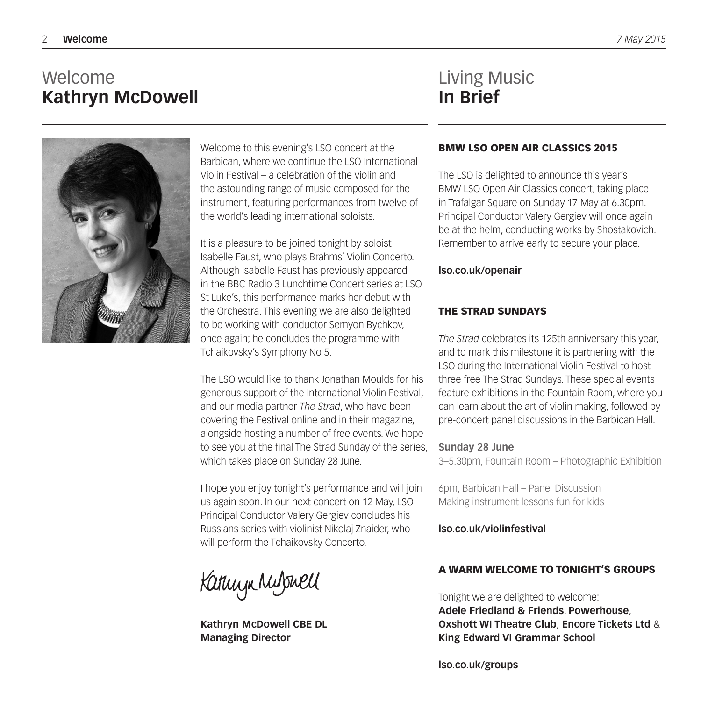# Welcome **Kathryn McDowell**

# Living Music **In Brief**



Welcome to this evening's LSO concert at the Barbican, where we continue the LSO International Violin Festival – a celebration of the violin and the astounding range of music composed for the instrument, featuring performances from twelve of the world's leading international soloists.

It is a pleasure to be joined tonight by soloist Isabelle Faust, who plays Brahms' Violin Concerto. Although Isabelle Faust has previously appeared in the BBC Radio 3 Lunchtime Concert series at LSO St Luke's, this performance marks her debut with the Orchestra. This evening we are also delighted to be working with conductor Semyon Bychkov, once again; he concludes the programme with Tchaikovsky's Symphony No 5.

The LSO would like to thank Jonathan Moulds for his generous support of the International Violin Festival, and our media partner *The Strad*, who have been covering the Festival online and in their magazine, alongside hosting a number of free events. We hope to see you at the final The Strad Sunday of the series, which takes place on Sunday 28 June.

I hope you enjoy tonight's performance and will ioin us again soon. In our next concert on 12 May, LSO Principal Conductor Valery Gergiev concludes his Russians series with violinist Nikolaj Znaider, who will perform the Tchaikovsky Concerto.

Kannyn Mulswell

**Kathryn McDowell CBE DL Managing Director**

# BMW LSO OPEN AIR CLASSICS 2015

The LSO is delighted to announce this year's BMW LSO Open Air Classics concert, taking place in Trafalgar Square on Sunday 17 May at 6.30pm. Principal Conductor Valery Gergiev will once again be at the helm, conducting works by Shostakovich. Remember to arrive early to secure your place.

# **lso.co.uk/openair**

# THE STRAD SUNDAYS

*The Strad* celebrates its 125th anniversary this year, and to mark this milestone it is partnering with the LSO during the International Violin Festival to host three free The Strad Sundays. These special events feature exhibitions in the Fountain Room, where you can learn about the art of violin making, followed by pre-concert panel discussions in the Barbican Hall.

### **Sunday 28 June**

3–5.30pm, Fountain Room – Photographic Exhibition

6pm, Barbican Hall – Panel Discussion Making instrument lessons fun for kids

# **lso.co.uk/violinfestival**

# A WARM WELCOME TO TONIGHT'S GROUPS

Tonight we are delighted to welcome:

**Adele Friedland & Friends**, **Powerhouse**, **Oxshott WI Theatre Club**, **Encore Tickets Ltd** & **King Edward VI Grammar School** 

**lso.co.uk/groups**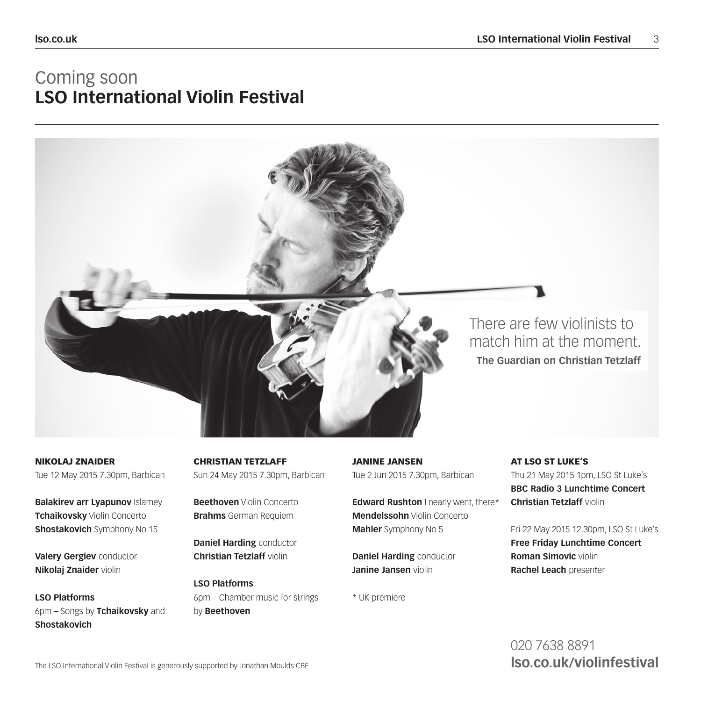# Coming soon **LSO International Violin Festival**



### NIKOLAJ ZNAIDER

Tue 12 May 2015 7.30pm, Barbican

**Balakirev arr Lyapunov** Islamey **Tchaikovsky** Violin Concerto **Shostakovich** Symphony No 15

**Valery Gergiev** conductor **Nikolaj Znaider** violin

**LSO Platforms** 6pm – Songs by **Tchaikovsky** and **Shostakovich**

CHRISTIAN TETZLAFF Sun 24 May 2015 7.30pm, Barbican

**Beethoven** Violin Concerto **Brahms** German Requiem

**Daniel Harding** conductor **Christian Tetzlaff** violin

**LSO Platforms** 6pm – Chamber music for strings by **Beethoven**

JANINE JANSEN Tue 2 Jun 2015 7.30pm, Barbican

**Edward Rushton** I nearly went, there\* **Mendelssohn** Violin Concerto **Mahler** Symphony No 5

**Daniel Harding** conductor **Janine Jansen** violin

\* UK premiere

### AT LSO ST LUKE'S

Thu 21 May 2015 1pm, LSO St Luke's **BBC Radio 3 Lunchtime Concert Christian Tetzlaff** violin

Fri 22 May 2015 12.30pm, LSO St Luke's

**Free Friday Lunchtime Concert Roman Simovic** violin **Rachel Leach** presenter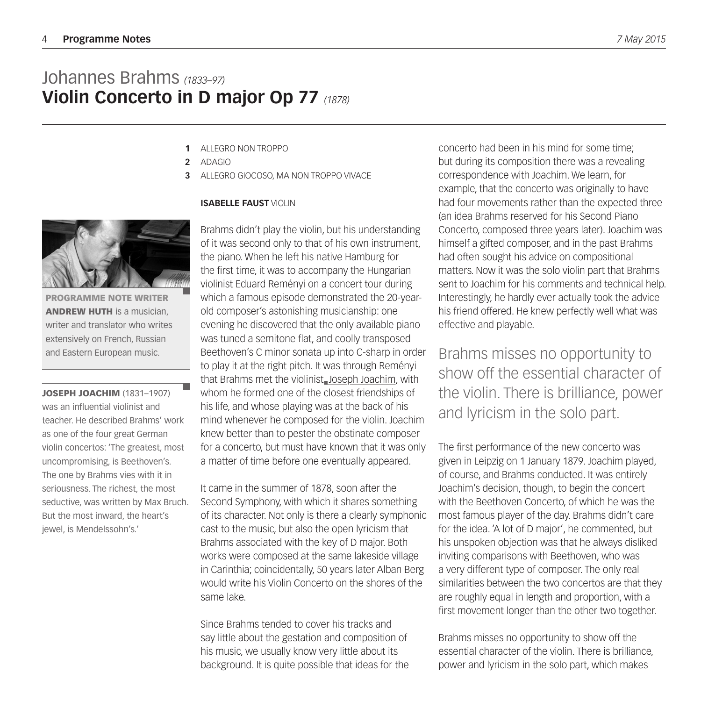# Johannes Brahms *(1833–97)* **Violin Concerto in D major Op 77** *(1878)*

- ALLEGRO NON TROPPO **1**
- ADAGIO **2**
- ALLEGRO GIOCOSO, MA NON TROPPO VIVACE **3**

# **ISABELLE FAUST** VIOLIN

Brahms didn't play the violin, but his understanding of it was second only to that of his own instrument, the piano. When he left his native Hamburg for the first time, it was to accompany the Hungarian violinist Eduard Reményi on a concert tour during which a famous episode demonstrated the 20-yearold composer's astonishing musicianship: one evening he discovered that the only available piano was tuned a semitone flat, and coolly transposed Beethoven's C minor sonata up into C-sharp in order to play it at the right pitch. It was through Reményi that Brahms met the violinist. Joseph Joachim, with whom he formed one of the closest friendships of his life, and whose playing was at the back of his mind whenever he composed for the violin. Joachim knew better than to pester the obstinate composer for a concerto, but must have known that it was only a matter of time before one eventually appeared.

It came in the summer of 1878, soon after the Second Symphony, with which it shares something of its character. Not only is there a clearly symphonic cast to the music, but also the open lyricism that Brahms associated with the key of D major. Both works were composed at the same lakeside village in Carinthia; coincidentally, 50 years later Alban Berg would write his Violin Concerto on the shores of the same lake.

Since Brahms tended to cover his tracks and say little about the gestation and composition of his music, we usually know very little about its background. It is quite possible that ideas for the concerto had been in his mind for some time; but during its composition there was a revealing correspondence with Joachim. We learn, for example, that the concerto was originally to have had four movements rather than the expected three (an idea Brahms reserved for his Second Piano Concerto, composed three years later). Joachim was himself a gifted composer, and in the past Brahms had often sought his advice on compositional matters. Now it was the solo violin part that Brahms sent to Joachim for his comments and technical help. Interestingly, he hardly ever actually took the advice his friend offered. He knew perfectly well what was effective and playable.

# Brahms misses no opportunity to show off the essential character of the violin. There is brilliance, power and lyricism in the solo part.

The first performance of the new concerto was given in Leipzig on 1 January 1879. Joachim played, of course, and Brahms conducted. It was entirely Joachim's decision, though, to begin the concert with the Beethoven Concerto, of which he was the most famous player of the day. Brahms didn't care for the idea. 'A lot of D major', he commented, but his unspoken objection was that he always disliked inviting comparisons with Beethoven, who was a very different type of composer. The only real similarities between the two concertos are that they are roughly equal in length and proportion, with a first movement longer than the other two together.

Brahms misses no opportunity to show off the essential character of the violin. There is brilliance, power and lyricism in the solo part, which makes



PROGRAMME NOTE WRITER ANDREW HUTH is a musician, writer and translator who writes extensively on French, Russian and Eastern European music.

JOSEPH JOACHIM (1831–1907) was an influential violinist and teacher. He described Brahms' work as one of the four great German violin concertos: 'The greatest, most uncompromising, is Beethoven's. The one by Brahms vies with it in seriousness. The richest, the most seductive, was written by Max Bruch. But the most inward, the heart's jewel, is Mendelssohn's.'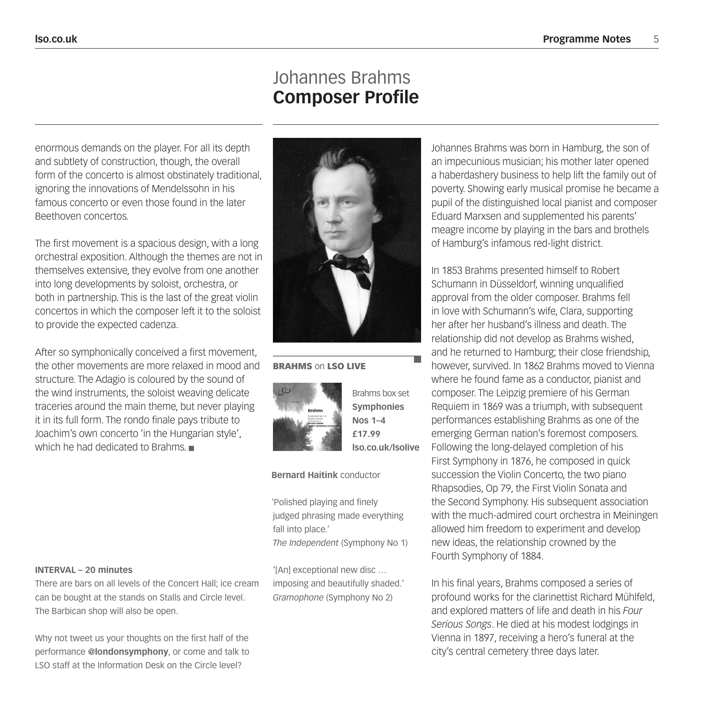# Johannes Brahms **Composer Profile**

enormous demands on the player. For all its depth and subtlety of construction, though, the overall form of the concerto is almost obstinately traditional, ignoring the innovations of Mendelssohn in his famous concerto or even those found in the later Beethoven concertos.

The first movement is a spacious design, with a long orchestral exposition. Although the themes are not in themselves extensive, they evolve from one another into long developments by soloist, orchestra, or both in partnership. This is the last of the great violin concertos in which the composer left it to the soloist to provide the expected cadenza.

After so symphonically conceived a first movement, the other movements are more relaxed in mood and structure. The Adagio is coloured by the sound of the wind instruments, the soloist weaving delicate traceries around the main theme, but never playing it in its full form. The rondo finale pays tribute to Joachim's own concerto 'in the Hungarian style', which he had dedicated to Brahms.

# **INTERVAL – 20 minutes**

There are bars on all levels of the Concert Hall; ice cream can be bought at the stands on Stalls and Circle level. The Barbican shop will also be open.

Why not tweet us your thoughts on the first half of the performance **@londonsymphony**, or come and talk to LSO staff at the Information Desk on the Circle level?



### BRAHMS on LSO LIVE



Brahms box set **Symphonies Nos 1–4 £17.99 lso.co.uk/lsolive**

### **Bernard Haitink** conductor

'Polished playing and finely judged phrasing made everything fall into place.' *The Independent* (Symphony No 1)

'[An] exceptional new disc … imposing and beautifully shaded.' *Gramophone* (Symphony No 2)

Johannes Brahms was born in Hamburg, the son of an impecunious musician; his mother later opened a haberdashery business to help lift the family out of poverty. Showing early musical promise he became a pupil of the distinguished local pianist and composer Eduard Marxsen and supplemented his parents' meagre income by playing in the bars and brothels of Hamburg's infamous red-light district.

In 1853 Brahms presented himself to Robert Schumann in Düsseldorf, winning unqualified approval from the older composer. Brahms fell in love with Schumann's wife, Clara, supporting her after her husband's illness and death. The relationship did not develop as Brahms wished, and he returned to Hamburg; their close friendship, however, survived. In 1862 Brahms moved to Vienna where he found fame as a conductor, pianist and composer. The Leipzig premiere of his German Requiem in 1869 was a triumph, with subsequent performances establishing Brahms as one of the emerging German nation's foremost composers. Following the long-delayed completion of his First Symphony in 1876, he composed in quick succession the Violin Concerto, the two piano Rhapsodies, Op 79, the First Violin Sonata and the Second Symphony. His subsequent association with the much-admired court orchestra in Meiningen allowed him freedom to experiment and develop new ideas, the relationship crowned by the Fourth Symphony of 1884.

In his final years, Brahms composed a series of profound works for the clarinettist Richard Mühlfeld, and explored matters of life and death in his *Four Serious Songs*. He died at his modest lodgings in Vienna in 1897, receiving a hero's funeral at the city's central cemetery three days later.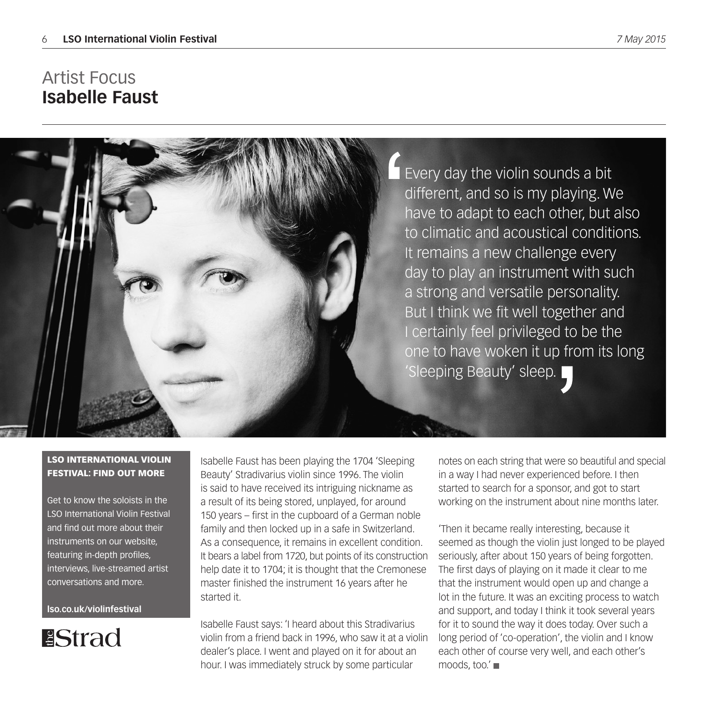# Artist Focus **Isabelle Faust**



# LSO INTERNATIONAL VIOLIN FESTIVAL: FIND OUT MORE

Get to know the soloists in the LSO International Violin Festival and find out more about their instruments on our website, featuring in-depth profiles, interviews, live-streamed artist conversations and more.

**lso.co.uk/violinfestival**



Isabelle Faust has been playing the 1704 'Sleeping Beauty' Stradivarius violin since 1996. The violin is said to have received its intriguing nickname as a result of its being stored, unplayed, for around 150 years – first in the cupboard of a German noble family and then locked up in a safe in Switzerland. As a consequence, it remains in excellent condition. It bears a label from 1720, but points of its construction help date it to 1704; it is thought that the Cremonese master finished the instrument 16 years after he started it.

Isabelle Faust says: 'I heard about this Stradivarius violin from a friend back in 1996, who saw it at a violin dealer's place. I went and played on it for about an hour. I was immediately struck by some particular

notes on each string that were so beautiful and special in a way I had never experienced before. I then started to search for a sponsor, and got to start working on the instrument about nine months later.

'Then it became really interesting, because it seemed as though the violin just longed to be played seriously, after about 150 years of being forgotten. The first days of playing on it made it clear to me that the instrument would open up and change a lot in the future. It was an exciting process to watch and support, and today I think it took several years for it to sound the way it does today. Over such a long period of 'co-operation', the violin and I know each other of course very well, and each other's moods, too.'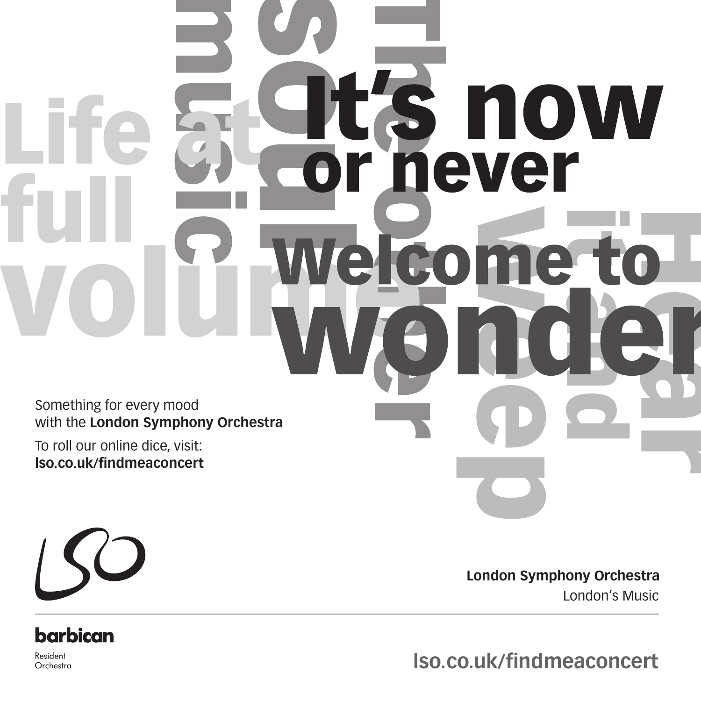# **S now**<br>Thever A Something for every mood with the **London Symphony Orchestra**

To roll our online dice, visit: **lso.co.uk/findmeaconcert**



**London Symphony Orchestra** London's Music

**barbican** 

Resident Orchestra **lso.co.uk/findmeaconcert**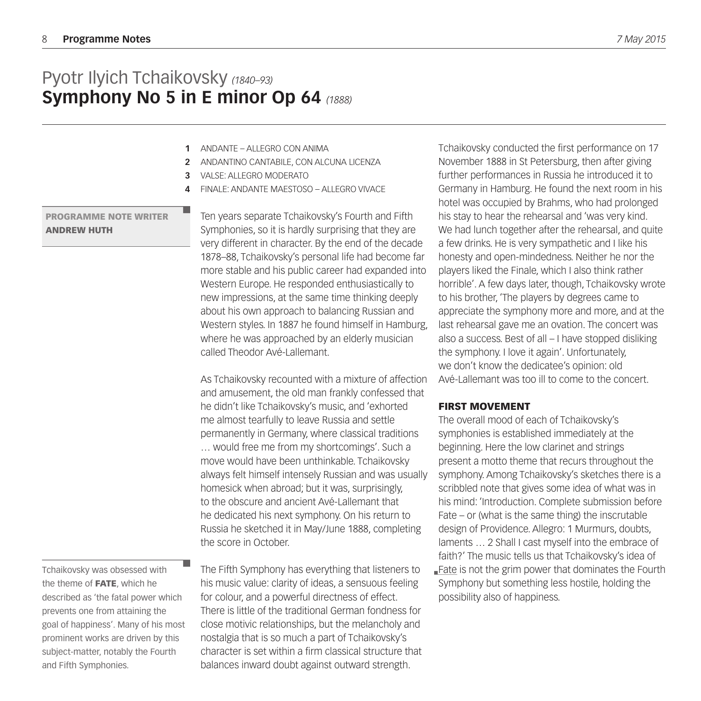# Pyotr Ilyich Tchaikovsky *(1840–93)* **Symphony No 5 in E minor Op 64** *(1888)*

- **1** ANDANTE – ALLEGRO CON ANIMA
- **2** ANDANTINO CANTABILE, CON ALCUNA LICENZA
- **3** VALSE: ALLEGRO MODERATO
- **4** FINALE: ANDANTE MAESTOSO – ALLEGRO VIVACE

# PROGRAMME NOTE WRITER ANDREW HUTH

Ten years separate Tchaikovsky's Fourth and Fifth Symphonies, so it is hardly surprising that they are very different in character. By the end of the decade 1878–88, Tchaikovsky's personal life had become far more stable and his public career had expanded into Western Europe. He responded enthusiastically to new impressions, at the same time thinking deeply about his own approach to balancing Russian and Western styles. In 1887 he found himself in Hamburg, where he was approached by an elderly musician called Theodor Avé-Lallemant.

As Tchaikovsky recounted with a mixture of affection and amusement, the old man frankly confessed that he didn't like Tchaikovsky's music, and 'exhorted me almost tearfully to leave Russia and settle permanently in Germany, where classical traditions … would free me from my shortcomings'. Such a move would have been unthinkable. Tchaikovsky always felt himself intensely Russian and was usually homesick when abroad; but it was, surprisingly, to the obscure and ancient Avé-Lallemant that he dedicated his next symphony. On his return to Russia he sketched it in May/June 1888, completing the score in October.

Tchaikovsky was obsessed with the theme of FATE, which he described as 'the fatal power which prevents one from attaining the goal of happiness'. Many of his most prominent works are driven by this subject-matter, notably the Fourth and Fifth Symphonies.

The Fifth Symphony has everything that listeners to his music value: clarity of ideas, a sensuous feeling for colour, and a powerful directness of effect. There is little of the traditional German fondness for close motivic relationships, but the melancholy and nostalgia that is so much a part of Tchaikovsky's character is set within a firm classical structure that balances inward doubt against outward strength.

Tchaikovsky conducted the first performance on 17 November 1888 in St Petersburg, then after giving further performances in Russia he introduced it to Germany in Hamburg. He found the next room in his hotel was occupied by Brahms, who had prolonged his stay to hear the rehearsal and 'was very kind. We had lunch together after the rehearsal, and quite a few drinks. He is very sympathetic and I like his honesty and open-mindedness. Neither he nor the players liked the Finale, which I also think rather horrible'. A few days later, though, Tchaikovsky wrote to his brother, 'The players by degrees came to appreciate the symphony more and more, and at the last rehearsal gave me an ovation. The concert was also a success. Best of all – I have stopped disliking the symphony. I love it again'. Unfortunately, we don't know the dedicatee's opinion: old Avé-Lallemant was too ill to come to the concert.

# FIRST MOVEMENT

The overall mood of each of Tchaikovsky's symphonies is established immediately at the beginning. Here the low clarinet and strings present a motto theme that recurs throughout the symphony. Among Tchaikovsky's sketches there is a scribbled note that gives some idea of what was in his mind: 'Introduction. Complete submission before Fate – or (what is the same thing) the inscrutable design of Providence. Allegro: 1 Murmurs, doubts, laments … 2 Shall I cast myself into the embrace of faith?' The music tells us that Tchaikovsky's idea of Fate is not the grim power that dominates the Fourth Symphony but something less hostile, holding the possibility also of happiness.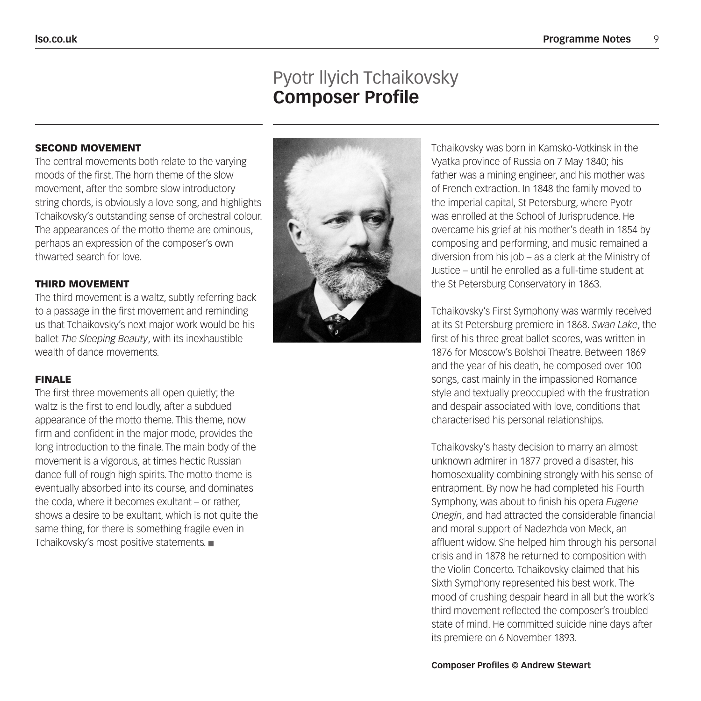# Pyotr llyich Tchaikovsky **Composer Profile**

# SECOND MOVEMENT

The central movements both relate to the varying moods of the first. The horn theme of the slow movement, after the sombre slow introductory string chords, is obviously a love song, and highlights Tchaikovsky's outstanding sense of orchestral colour. The appearances of the motto theme are ominous, perhaps an expression of the composer's own thwarted search for love.

# THIRD MOVEMENT

The third movement is a waltz, subtly referring back to a passage in the first movement and reminding us that Tchaikovsky's next major work would be his ballet *The Sleeping Beauty*, with its inexhaustible wealth of dance movements.

### FINALE

The first three movements all open quietly; the waltz is the first to end loudly, after a subdued appearance of the motto theme. This theme, now firm and confident in the major mode, provides the long introduction to the finale. The main body of the movement is a vigorous, at times hectic Russian dance full of rough high spirits. The motto theme is eventually absorbed into its course, and dominates the coda, where it becomes exultant – or rather, shows a desire to be exultant, which is not quite the same thing, for there is something fragile even in Tchaikovsky's most positive statements.



Tchaikovsky was born in Kamsko-Votkinsk in the Vyatka province of Russia on 7 May 1840; his father was a mining engineer, and his mother was of French extraction. In 1848 the family moved to the imperial capital, St Petersburg, where Pyotr was enrolled at the School of Jurisprudence. He overcame his grief at his mother's death in 1854 by composing and performing, and music remained a diversion from his job – as a clerk at the Ministry of Justice – until he enrolled as a full-time student at the St Petersburg Conservatory in 1863.

Tchaikovsky's First Symphony was warmly received at its St Petersburg premiere in 1868. *Swan Lake*, the first of his three great ballet scores, was written in 1876 for Moscow's Bolshoi Theatre. Between 1869 and the year of his death, he composed over 100 songs, cast mainly in the impassioned Romance style and textually preoccupied with the frustration and despair associated with love, conditions that characterised his personal relationships.

Tchaikovsky's hasty decision to marry an almost unknown admirer in 1877 proved a disaster, his homosexuality combining strongly with his sense of entrapment. By now he had completed his Fourth Symphony, was about to finish his opera *Eugene Onegin*, and had attracted the considerable financial and moral support of Nadezhda von Meck, an affluent widow. She helped him through his personal crisis and in 1878 he returned to composition with the Violin Concerto. Tchaikovsky claimed that his Sixth Symphony represented his best work. The mood of crushing despair heard in all but the work's third movement reflected the composer's troubled state of mind. He committed suicide nine days after its premiere on 6 November 1893.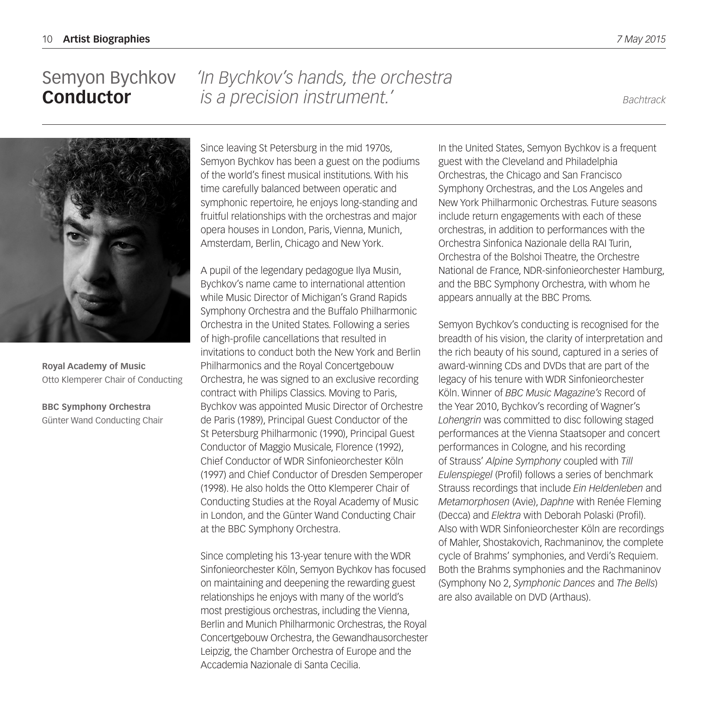**Conductor**

Semyon Bychkov

# *'In Bychkov's hands, the orchestra is a precision instrument.' Bachtrack*



**Royal Academy of Music** Otto Klemperer Chair of Conducting

**BBC Symphony Orchestra** Günter Wand Conducting Chair Since leaving St Petersburg in the mid 1970s, Semyon Bychkov has been a guest on the podiums of the world's finest musical institutions. With his time carefully balanced between operatic and symphonic repertoire, he enjoys long-standing and fruitful relationships with the orchestras and major opera houses in London, Paris, Vienna, Munich, Amsterdam, Berlin, Chicago and New York.

A pupil of the legendary pedagogue Ilya Musin, Bychkov's name came to international attention while Music Director of Michigan's Grand Rapids Symphony Orchestra and the Buffalo Philharmonic Orchestra in the United States. Following a series of high-profile cancellations that resulted in invitations to conduct both the New York and Berlin Philharmonics and the Royal Concertgebouw Orchestra, he was signed to an exclusive recording contract with Philips Classics. Moving to Paris, Bychkov was appointed Music Director of Orchestre de Paris (1989), Principal Guest Conductor of the St Petersburg Philharmonic (1990), Principal Guest Conductor of Maggio Musicale, Florence (1992), Chief Conductor of WDR Sinfonieorchester Köln (1997) and Chief Conductor of Dresden Semperoper (1998). He also holds the Otto Klemperer Chair of Conducting Studies at the Royal Academy of Music in London, and the Günter Wand Conducting Chair at the BBC Symphony Orchestra.

Since completing his 13-year tenure with the WDR Sinfonieorchester Köln, Semyon Bychkov has focused on maintaining and deepening the rewarding guest relationships he enjoys with many of the world's most prestigious orchestras, including the Vienna, Berlin and Munich Philharmonic Orchestras, the Royal Concertgebouw Orchestra, the Gewandhausorchester Leipzig, the Chamber Orchestra of Europe and the Accademia Nazionale di Santa Cecilia.

In the United States, Semyon Bychkov is a frequent guest with the Cleveland and Philadelphia Orchestras, the Chicago and San Francisco Symphony Orchestras, and the Los Angeles and New York Philharmonic Orchestras. Future seasons include return engagements with each of these orchestras, in addition to performances with the Orchestra Sinfonica Nazionale della RAI Turin, Orchestra of the Bolshoi Theatre, the Orchestre National de France, NDR-sinfonieorchester Hamburg, and the BBC Symphony Orchestra, with whom he appears annually at the BBC Proms.

Semyon Bychkov's conducting is recognised for the breadth of his vision, the clarity of interpretation and the rich beauty of his sound, captured in a series of award-winning CDs and DVDs that are part of the legacy of his tenure with WDR Sinfonieorchester Köln. Winner of *BBC Music Magazine's* Record of the Year 2010, Bychkov's recording of Wagner's *Lohengrin* was committed to disc following staged performances at the Vienna Staatsoper and concert performances in Cologne, and his recording of Strauss' *Alpine Symphony* coupled with *Till Eulenspiegel* (Profil) follows a series of benchmark Strauss recordings that include *Ein Heldenleben* and *Metamorphosen* (Avie), *Daphne* with Renée Fleming (Decca) and *Elektra* with Deborah Polaski (Profil). Also with WDR Sinfonieorchester Köln are recordings of Mahler, Shostakovich, Rachmaninov, the complete cycle of Brahms' symphonies, and Verdi's Requiem. Both the Brahms symphonies and the Rachmaninov (Symphony No 2, *Symphonic Dances* and *The Bells*) are also available on DVD (Arthaus).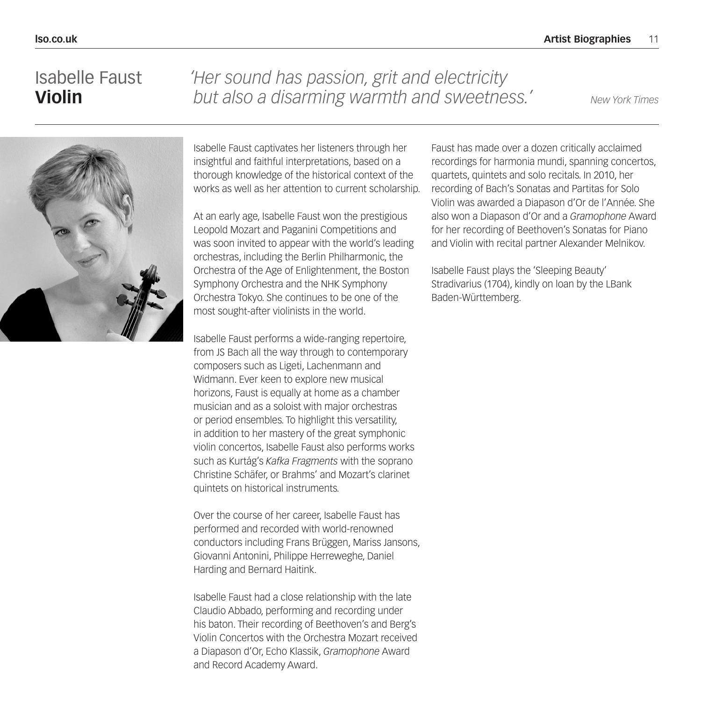# Isabelle Faust **Violin**

*'Her sound has passion, grit and electricity but also a disarming warmth and sweetness.' New York Times*



Isabelle Faust captivates her listeners through her insightful and faithful interpretations, based on a thorough knowledge of the historical context of the works as well as her attention to current scholarship.

At an early age, Isabelle Faust won the prestigious Leopold Mozart and Paganini Competitions and was soon invited to appear with the world's leading orchestras, including the Berlin Philharmonic, the Orchestra of the Age of Enlightenment, the Boston Symphony Orchestra and the NHK Symphony Orchestra Tokyo. She continues to be one of the most sought-after violinists in the world.

Isabelle Faust performs a wide-ranging repertoire, from JS Bach all the way through to contemporary composers such as Ligeti, Lachenmann and Widmann. Ever keen to explore new musical horizons, Faust is equally at home as a chamber musician and as a soloist with major orchestras or period ensembles. To highlight this versatility, in addition to her mastery of the great symphonic violin concertos, Isabelle Faust also performs works such as Kurtág's *Kafka Fragments* with the soprano Christine Schäfer, or Brahms' and Mozart's clarinet quintets on historical instruments.

Over the course of her career, Isabelle Faust has performed and recorded with world-renowned conductors including Frans Brüggen, Mariss Jansons, Giovanni Antonini, Philippe Herreweghe, Daniel Harding and Bernard Haitink.

Isabelle Faust had a close relationship with the late Claudio Abbado, performing and recording under his baton. Their recording of Beethoven's and Berg's Violin Concertos with the Orchestra Mozart received a Diapason d'Or, Echo Klassik, *Gramophone* Award and Record Academy Award.

Faust has made over a dozen critically acclaimed recordings for harmonia mundi, spanning concertos, quartets, quintets and solo recitals. In 2010, her recording of Bach's Sonatas and Partitas for Solo Violin was awarded a Diapason d'Or de l'Année. She also won a Diapason d'Or and a *Gramophone* Award for her recording of Beethoven's Sonatas for Piano and Violin with recital partner Alexander Melnikov.

Isabelle Faust plays the 'Sleeping Beauty' Stradivarius (1704), kindly on loan by the LBank Baden-Württemberg.